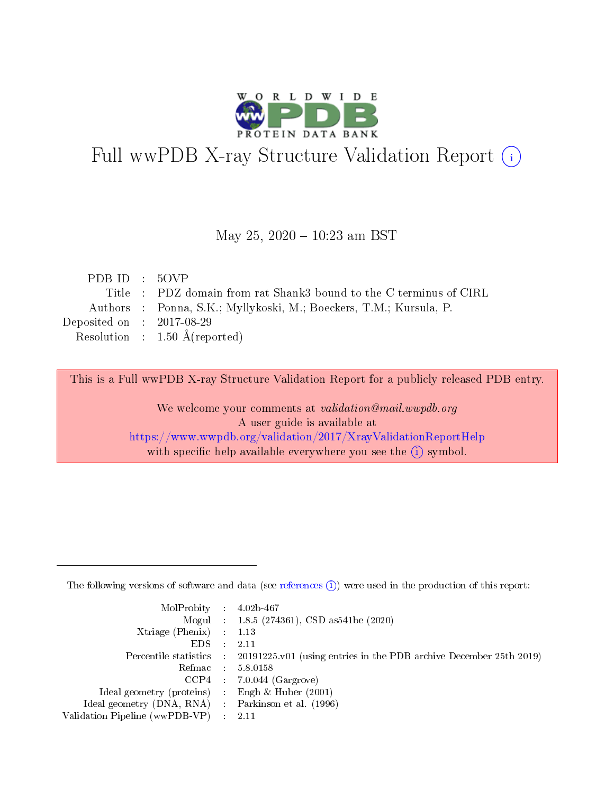

# Full wwPDB X-ray Structure Validation Report (i)

#### May 25,  $2020 - 10:23$  am BST

| PDB ID : $50VP$                                                    |
|--------------------------------------------------------------------|
| Title : PDZ domain from rat Shank3 bound to the C terminus of CIRL |
| Authors : Ponna, S.K.; Myllykoski, M.; Boeckers, T.M.; Kursula, P. |
| Deposited on : $2017-08-29$                                        |
| Resolution : $1.50 \text{ Å}$ (reported)                           |
|                                                                    |

This is a Full wwPDB X-ray Structure Validation Report for a publicly released PDB entry.

We welcome your comments at validation@mail.wwpdb.org A user guide is available at <https://www.wwpdb.org/validation/2017/XrayValidationReportHelp> with specific help available everywhere you see the  $(i)$  symbol.

The following versions of software and data (see [references](https://www.wwpdb.org/validation/2017/XrayValidationReportHelp#references)  $(1)$ ) were used in the production of this report:

| $MolProbability$ : 4.02b-467                        |                                                                                            |
|-----------------------------------------------------|--------------------------------------------------------------------------------------------|
|                                                     | Mogul : $1.8.5$ (274361), CSD as 541be (2020)                                              |
| Xtriage (Phenix) $: 1.13$                           |                                                                                            |
| EDS                                                 | -2.11                                                                                      |
|                                                     | Percentile statistics : 20191225.v01 (using entries in the PDB archive December 25th 2019) |
| Refmac 58.0158                                      |                                                                                            |
|                                                     | $CCP4$ 7.0.044 (Gargrove)                                                                  |
| Ideal geometry (proteins) : Engh $\&$ Huber (2001)  |                                                                                            |
| Ideal geometry (DNA, RNA) : Parkinson et al. (1996) |                                                                                            |
| Validation Pipeline (wwPDB-VP) : 2.11               |                                                                                            |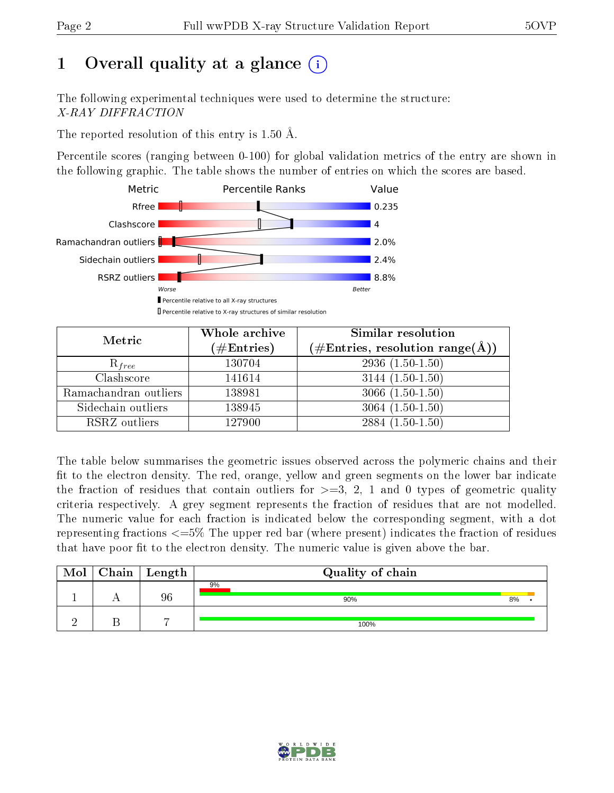# 1 [O](https://www.wwpdb.org/validation/2017/XrayValidationReportHelp#overall_quality)verall quality at a glance  $(i)$

The following experimental techniques were used to determine the structure: X-RAY DIFFRACTION

The reported resolution of this entry is 1.50 Å.

Percentile scores (ranging between 0-100) for global validation metrics of the entry are shown in the following graphic. The table shows the number of entries on which the scores are based.



| Metric                | Whole archive<br>$(\#\mathrm{Entries})$ | Similar resolution<br>$(\#\text{Entries}, \text{resolution range}(\textup{\AA}))$ |
|-----------------------|-----------------------------------------|-----------------------------------------------------------------------------------|
| $R_{free}$            | 130704                                  | $2936(1.50-1.50)$                                                                 |
| Clashscore            | 141614                                  | $3144(1.50-1.50)$                                                                 |
| Ramachandran outliers | 138981                                  | $3066(1.50-1.50)$                                                                 |
| Sidechain outliers    | 138945                                  | $3064(1.50-1.50)$                                                                 |
| RSRZ outliers         | 127900                                  | $2884(1.50-1.50)$                                                                 |

The table below summarises the geometric issues observed across the polymeric chains and their fit to the electron density. The red, orange, yellow and green segments on the lower bar indicate the fraction of residues that contain outliers for  $>=3, 2, 1$  and 0 types of geometric quality criteria respectively. A grey segment represents the fraction of residues that are not modelled. The numeric value for each fraction is indicated below the corresponding segment, with a dot representing fractions <=5% The upper red bar (where present) indicates the fraction of residues that have poor fit to the electron density. The numeric value is given above the bar.

| Mol | $Chain \  Length$ | Quality of chain |    |  |  |  |  |
|-----|-------------------|------------------|----|--|--|--|--|
|     | 96                | 9%<br>90%        | 8% |  |  |  |  |
|     | $\overline{ }$    | 100%             |    |  |  |  |  |

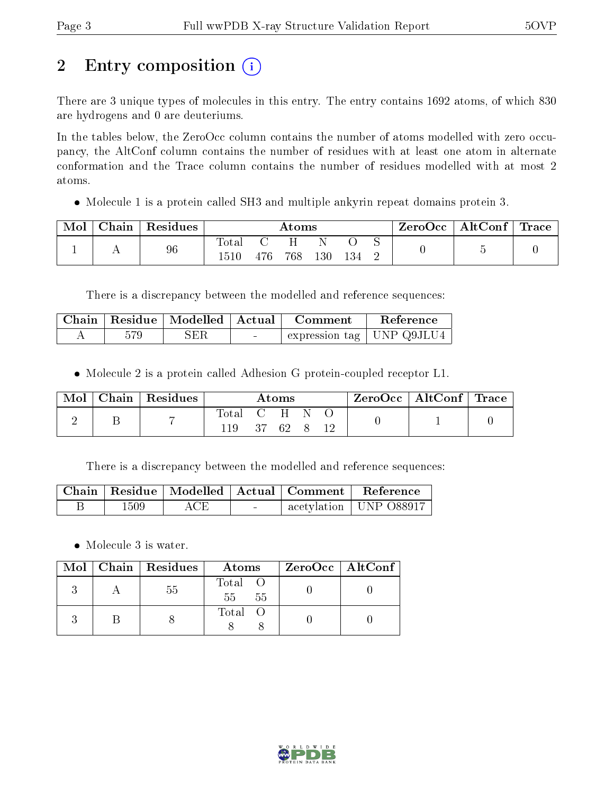# 2 Entry composition (i)

There are 3 unique types of molecules in this entry. The entry contains 1692 atoms, of which 830 are hydrogens and 0 are deuteriums.

In the tables below, the ZeroOcc column contains the number of atoms modelled with zero occupancy, the AltConf column contains the number of residues with at least one atom in alternate conformation and the Trace column contains the number of residues modelled with at most 2 atoms.

Molecule 1 is a protein called SH3 and multiple ankyrin repeat domains protein 3.

| Mol | Chain | Residues | Atoms |     |     |     | ZeroOcc | $\vert$ AltConf $\vert$ Trace $\vert$ |  |  |  |
|-----|-------|----------|-------|-----|-----|-----|---------|---------------------------------------|--|--|--|
|     |       | 96       | Total | 476 | 768 | 130 | 134     |                                       |  |  |  |

There is a discrepancy between the modelled and reference sequences:

|     | Chain   Residue   Modelled   Actual |                                  | Comment | Reference                   |
|-----|-------------------------------------|----------------------------------|---------|-----------------------------|
| 579 | SER                                 | <b><i><u>Participate</u></i></b> |         | expression tag   UNP Q9JLU4 |

Molecule 2 is a protein called Adhesion G protein-coupled receptor L1.

| Mol | Chain   Residues | Atoms        |  |                                            | $\text{ZeroOcc}$   AltConf   Trace |  |  |  |
|-----|------------------|--------------|--|--------------------------------------------|------------------------------------|--|--|--|
|     |                  | Total<br>119 |  | $\bullet$ C $\bullet$ H $\bullet$<br>37 69 |                                    |  |  |  |

There is a discrepancy between the modelled and reference sequences:

|      |     |        | $\mid$ Chain $\mid$ Residue $\mid$ Modelled $\mid$ Actual $\mid$ Comment $\mid$ Reference |
|------|-----|--------|-------------------------------------------------------------------------------------------|
| 1509 | ACE | $\sim$ | $\perp$ acetylation   UNP 088917 $\perp$                                                  |

Molecule 3 is water.

|  | $Mol$   Chain   Residues | Atoms                  | ZeroOcc   AltConf |
|--|--------------------------|------------------------|-------------------|
|  | 55                       | Total<br>$55 -$<br>-55 |                   |
|  |                          | Total                  |                   |

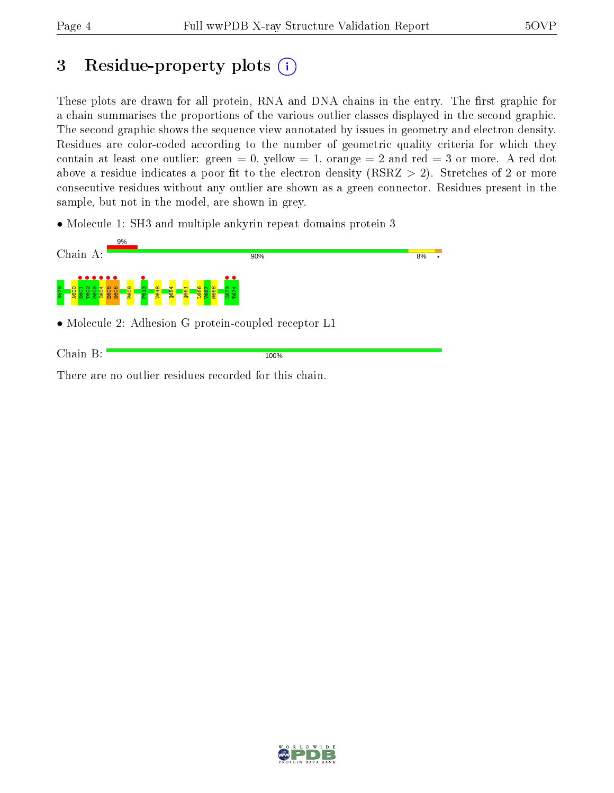# 3 Residue-property plots  $(i)$

These plots are drawn for all protein, RNA and DNA chains in the entry. The first graphic for a chain summarises the proportions of the various outlier classes displayed in the second graphic. The second graphic shows the sequence view annotated by issues in geometry and electron density. Residues are color-coded according to the number of geometric quality criteria for which they contain at least one outlier: green  $= 0$ , yellow  $= 1$ , orange  $= 2$  and red  $= 3$  or more. A red dot above a residue indicates a poor fit to the electron density (RSRZ  $> 2$ ). Stretches of 2 or more consecutive residues without any outlier are shown as a green connector. Residues present in the sample, but not in the model, are shown in grey.

• Molecule 1: SH3 and multiple ankyrin repeat domains protein 3



There are no outlier residues recorded for this chain.

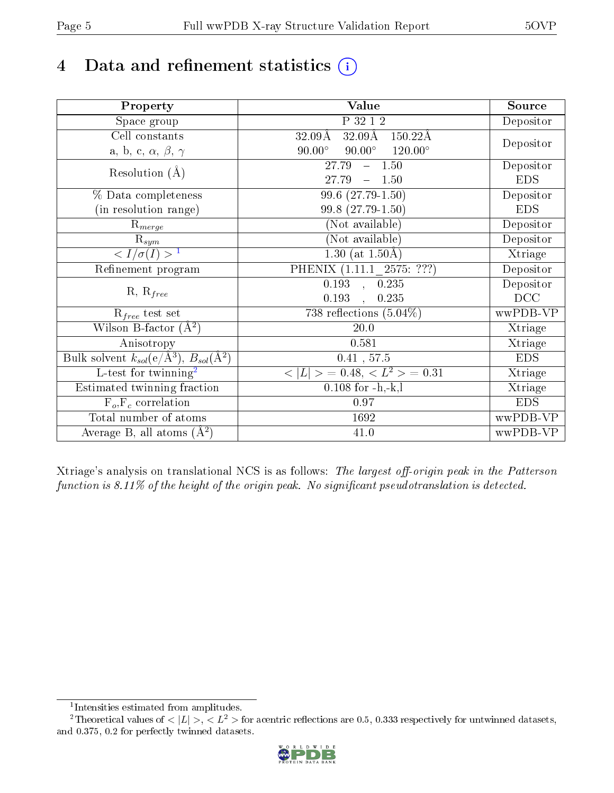# 4 Data and refinement statistics  $(i)$

| Property                                                             | <b>Value</b>                                                 | Source     |
|----------------------------------------------------------------------|--------------------------------------------------------------|------------|
| Space group                                                          | P 32 1 2                                                     | Depositor  |
| Cell constants                                                       | $32.09\text{\AA}$<br>$150.22\text{\AA}$<br>$32.09\text{\AA}$ |            |
| a, b, c, $\alpha$ , $\beta$ , $\gamma$                               | $120.00^\circ$<br>$90.00^\circ$<br>$90.00^\circ$             | Depositor  |
| Resolution $(A)$                                                     | 27.79<br>$-1.50$                                             | Depositor  |
|                                                                      | 27.79<br>1.50                                                | <b>EDS</b> |
| % Data completeness                                                  | 99.6 (27.79-1.50)                                            | Depositor  |
| (in resolution range)                                                | 99.8 (27.79-1.50)                                            | <b>EDS</b> |
| $R_{merge}$                                                          | (Not available)                                              | Depositor  |
| $\mathrm{R}_{sym}$                                                   | (Not available)                                              | Depositor  |
| $\langle I/\sigma(I) \rangle^{-1}$                                   | 1.30 (at $1.50\text{\AA}$ )                                  | Xtriage    |
| Refinement program                                                   | PHENIX (1.11.1 2575: ???)                                    | Depositor  |
| $R, R_{free}$                                                        | $\overline{0.193}$ ,<br>0.235                                | Depositor  |
|                                                                      | 0.193<br>0.235                                               | DCC        |
| $R_{free}$ test set                                                  | 738 reflections $(5.04\%)$                                   | wwPDB-VP   |
| Wilson B-factor $(A^2)$                                              | 20.0                                                         | Xtriage    |
| Anisotropy                                                           | 0.581                                                        | Xtriage    |
| Bulk solvent $k_{sol}(e/\mathring{A}^3)$ , $B_{sol}(\mathring{A}^2)$ | 0.41, 57.5                                                   | <b>EDS</b> |
| L-test for twinning <sup>2</sup>                                     | $>$ = 0.48, < $L^2$ > = 0.31<br>< L                          | Xtriage    |
| Estimated twinning fraction                                          | $0.108$ for $-h,-k,l$                                        | Xtriage    |
| $F_o, F_c$ correlation                                               | 0.97                                                         | <b>EDS</b> |
| Total number of atoms                                                | 1692                                                         | wwPDB-VP   |
| Average B, all atoms $(A^2)$                                         | $41.0\,$                                                     | wwPDB-VP   |

Xtriage's analysis on translational NCS is as follows: The largest off-origin peak in the Patterson function is  $8.11\%$  of the height of the origin peak. No significant pseudotranslation is detected.

<sup>&</sup>lt;sup>2</sup>Theoretical values of  $\langle |L| \rangle$ ,  $\langle L^2 \rangle$  for acentric reflections are 0.5, 0.333 respectively for untwinned datasets, and 0.375, 0.2 for perfectly twinned datasets.



<span id="page-4-1"></span><span id="page-4-0"></span><sup>1</sup> Intensities estimated from amplitudes.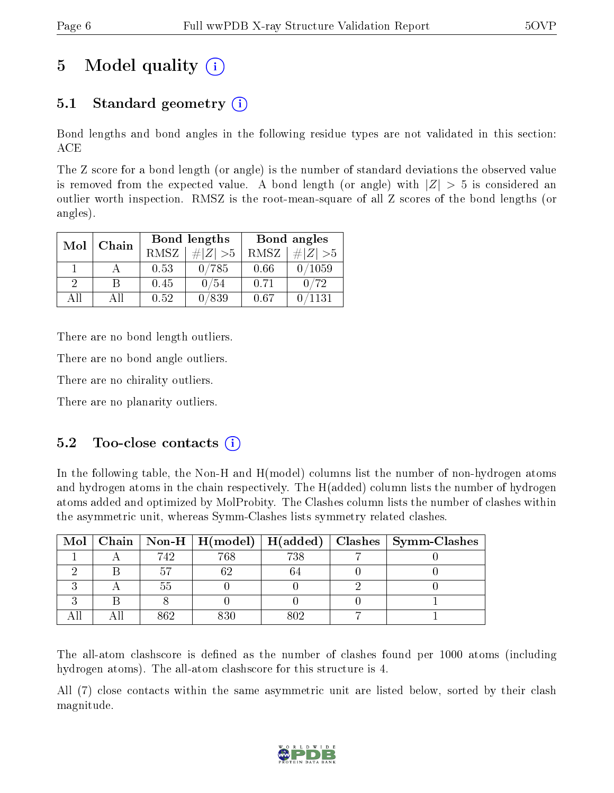# 5 Model quality  $(i)$

## 5.1 Standard geometry  $(i)$

Bond lengths and bond angles in the following residue types are not validated in this section: ACE

The Z score for a bond length (or angle) is the number of standard deviations the observed value is removed from the expected value. A bond length (or angle) with  $|Z| > 5$  is considered an outlier worth inspection. RMSZ is the root-mean-square of all Z scores of the bond lengths (or angles).

| Mol      | Chain |      | <b>Bond lengths</b> | Bond angles |             |  |
|----------|-------|------|---------------------|-------------|-------------|--|
|          |       | RMSZ | $\# Z  > 5$         | RMSZ        | $\ Z\  > 5$ |  |
|          |       | 0.53 | 0/785               | 0.66        | 0/1059      |  |
| $\Omega$ | R     | 0.45 | 0/54                | 0.71        | 0/72        |  |
| ΔH       | A 11  | 0.52 | 0/839               | 0.67        | 1131        |  |

There are no bond length outliers.

There are no bond angle outliers.

There are no chirality outliers.

There are no planarity outliers.

#### $5.2$  Too-close contacts  $(i)$

In the following table, the Non-H and H(model) columns list the number of non-hydrogen atoms and hydrogen atoms in the chain respectively. The H(added) column lists the number of hydrogen atoms added and optimized by MolProbity. The Clashes column lists the number of clashes within the asymmetric unit, whereas Symm-Clashes lists symmetry related clashes.

|  |      |     |     | Mol   Chain   Non-H   H(model)   H(added)   Clashes   Symm-Clashes |
|--|------|-----|-----|--------------------------------------------------------------------|
|  | 742  | 768 | 738 |                                                                    |
|  |      |     |     |                                                                    |
|  |      |     |     |                                                                    |
|  |      |     |     |                                                                    |
|  | 96 G |     |     |                                                                    |

The all-atom clashscore is defined as the number of clashes found per 1000 atoms (including hydrogen atoms). The all-atom clashscore for this structure is 4.

All (7) close contacts within the same asymmetric unit are listed below, sorted by their clash magnitude.

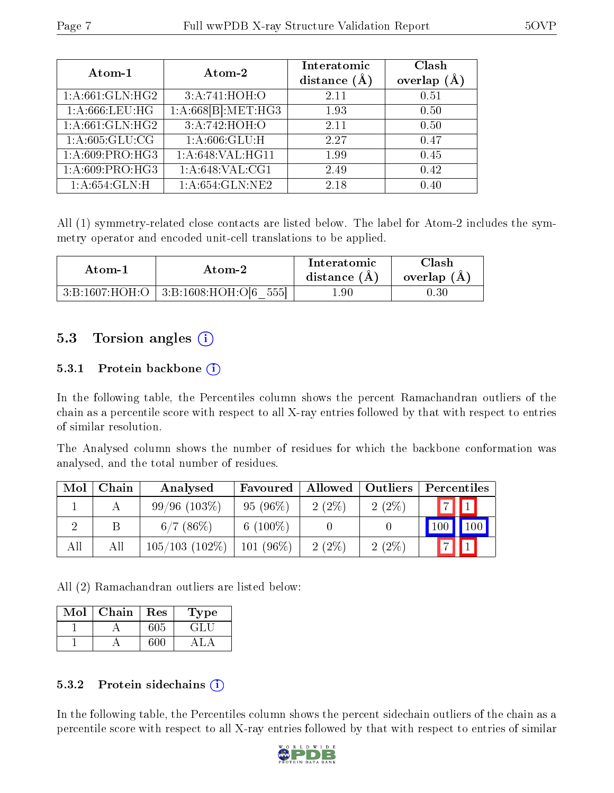| Atom-1                       | Atom-2             |      | Clash<br>(A)<br>overlap |
|------------------------------|--------------------|------|-------------------------|
| 1:A:661:GLN:HG2              | 3:A:741:HOH:O      | 2.11 | 0.51                    |
| 1: A:666:LEU:HG              | 1:A:668[B]:MET:HG3 | 1.93 | 0.50                    |
| $1:A:\overline{661:GLN:HG2}$ | 3:A:742:HOH:O      | 2.11 | 0.50                    |
| 1: A:605: GLU:CG             | 1: A:606: GLU: H   | 2.27 | 0.47                    |
| 1:A:609:PRO:HG3              | 1: A:648: VAL:HG11 | 1.99 | 0.45                    |
| 1:A:609:PRO:HG3              | 1:A:648:VAL:CG1    | 2.49 | 0.42                    |
| 1: A:654: GLN: H             | 1: A:654: GLN:NE2  | 2.18 | 0.40                    |

All (1) symmetry-related close contacts are listed below. The label for Atom-2 includes the symmetry operator and encoded unit-cell translations to be applied.

| Atom-1          | Atom-2                     | Interatomic<br>distance $(A)$ | Clash<br>overlap $(A)$ |
|-----------------|----------------------------|-------------------------------|------------------------|
| 3:Bi:1607:HOH:O | 555<br>3: B:1608:HOH: O[6] | $1.90\,$                      | $0.30\,$               |

### 5.3 Torsion angles (i)

#### 5.3.1 Protein backbone  $(i)$

In the following table, the Percentiles column shows the percent Ramachandran outliers of the chain as a percentile score with respect to all X-ray entries followed by that with respect to entries of similar resolution.

The Analysed column shows the number of residues for which the backbone conformation was analysed, and the total number of residues.

| Mol | Chain | Analysed          | Favoured    | Allowed   Outliers |          | Percentiles                 |
|-----|-------|-------------------|-------------|--------------------|----------|-----------------------------|
|     |       | $99/96$ $(103\%)$ | $95(96\%)$  | $2(2\%)$           | $2(2\%)$ | $\boxed{1}$<br>$ \tau $     |
|     |       | $6/7$ (86\%)      | 6 $(100\%)$ |                    |          | 100                         |
| All | Αll   | $105/103$ (102\%) | $101(96\%)$ | $2(2\%)$           | $2(2\%)$ | $\boxed{1}$<br>$\mathsf{L}$ |

All (2) Ramachandran outliers are listed below:

| Mol | Chain | Res | Type |
|-----|-------|-----|------|
|     |       |     | GLI  |
|     |       |     |      |

#### 5.3.2 Protein sidechains  $(i)$

In the following table, the Percentiles column shows the percent sidechain outliers of the chain as a percentile score with respect to all X-ray entries followed by that with respect to entries of similar

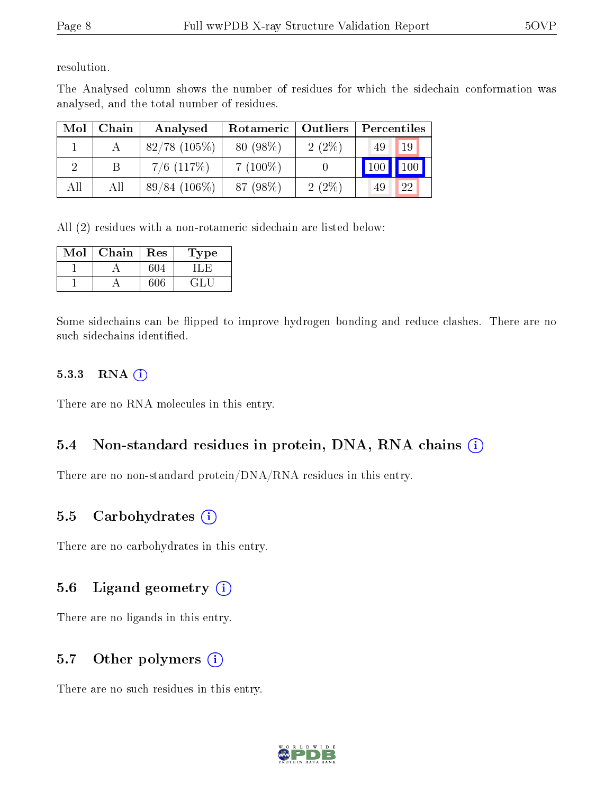resolution.

The Analysed column shows the number of residues for which the sidechain conformation was analysed, and the total number of residues.

| Mol | Chain | Analysed        | Rotameric   Outliers |          | Percentiles |    |
|-----|-------|-----------------|----------------------|----------|-------------|----|
|     |       | $82/78$ (105%)  | 80 (98%)             | $2(2\%)$ | 49          | 19 |
|     |       | $7/6$ $(117%)$  | $7(100\%)$           |          | 100         |    |
| All | All   | $89/84$ (106\%) | 87 (98%)             | $2(2\%)$ | 49          | 22 |

All (2) residues with a non-rotameric sidechain are listed below:

| Mol | Chain | Res | Type   |
|-----|-------|-----|--------|
|     |       | 604 |        |
|     |       | 606 | - 14 F |

Some sidechains can be flipped to improve hydrogen bonding and reduce clashes. There are no such sidechains identified.

#### 5.3.3 RNA (i)

There are no RNA molecules in this entry.

#### 5.4 Non-standard residues in protein, DNA, RNA chains (i)

There are no non-standard protein/DNA/RNA residues in this entry.

#### 5.5 Carbohydrates  $(i)$

There are no carbohydrates in this entry.

### 5.6 Ligand geometry (i)

There are no ligands in this entry.

#### 5.7 [O](https://www.wwpdb.org/validation/2017/XrayValidationReportHelp#nonstandard_residues_and_ligands)ther polymers (i)

There are no such residues in this entry.

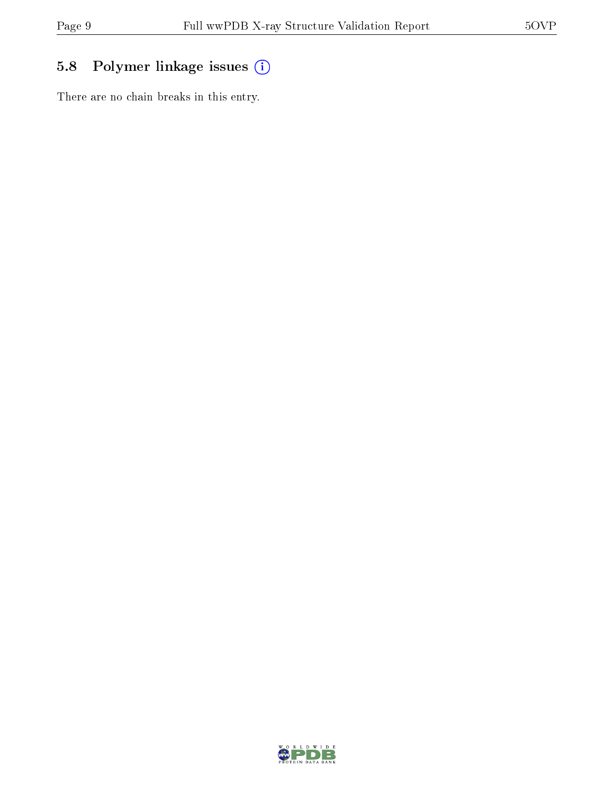## 5.8 Polymer linkage issues (i)

There are no chain breaks in this entry.

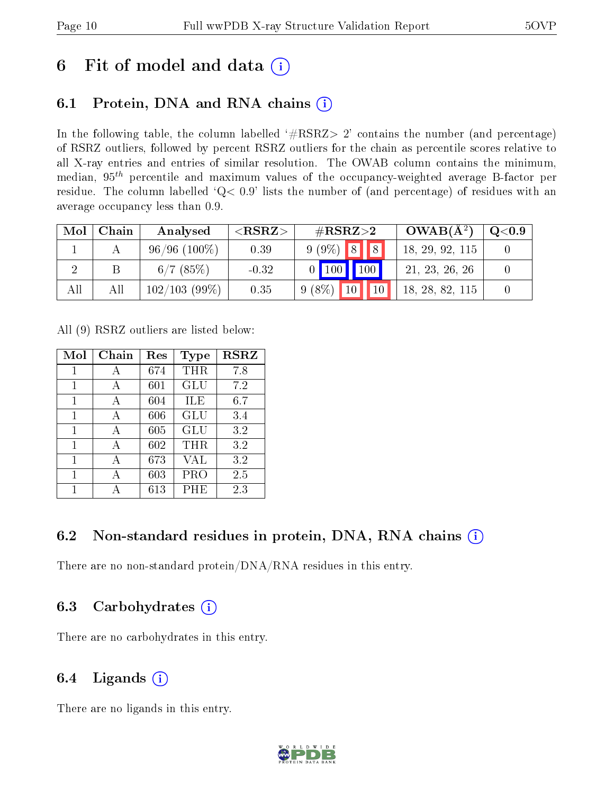# 6 Fit of model and data  $(i)$

### 6.1 Protein, DNA and RNA chains  $(i)$

In the following table, the column labelled  $#RSRZ> 2'$  contains the number (and percentage) of RSRZ outliers, followed by percent RSRZ outliers for the chain as percentile scores relative to all X-ray entries and entries of similar resolution. The OWAB column contains the minimum, median,  $95<sup>th</sup>$  percentile and maximum values of the occupancy-weighted average B-factor per residue. The column labelled  $Q< 0.9$  lists the number of (and percentage) of residues with an average occupancy less than 0.9.

| Mol | Chain | Analysed       | ${ <\hspace{-1.5pt}{\mathrm{RSRZ}} \hspace{-1.5pt}>}$ | $\#\text{RSRZ}{>}2$ | $OWAB(A^2)$     | $\rm{Q}\textcolor{black}{<}0.9$ $\mid$ |
|-----|-------|----------------|-------------------------------------------------------|---------------------|-----------------|----------------------------------------|
|     |       | $96/96(100\%)$ | 0.39                                                  | $9(9\%)$ 8 8        | 18, 29, 92, 115 |                                        |
|     |       | $6/7$ (85%)    | $-0.32$                                               | $0$ 100 100         | 21, 23, 26, 26  |                                        |
|     | All   | 102/103(99%)   | 0.35                                                  | $9(8\%)$ 10 10      | 18, 28, 82, 115 |                                        |

All (9) RSRZ outliers are listed below:

| Mol | $Chain$ | $\operatorname{Res}% \left( \mathcal{N}\right) \equiv\operatorname{Res}(\mathcal{N}_{0},\mathcal{N}_{0})$ | Type       | <b>RSRZ</b> |
|-----|---------|-----------------------------------------------------------------------------------------------------------|------------|-------------|
| 1   | А       | 674                                                                                                       | <b>THR</b> | 7.8         |
| 1   | А       | 601                                                                                                       | <b>GLU</b> | 7.2         |
| 1   | А       | 604                                                                                                       | ILE        | 6.7         |
| 1   | А       | 606                                                                                                       | <b>GLU</b> | 3.4         |
| 1   | A       | 605                                                                                                       | <b>GLU</b> | 3.2         |
| 1   | A       | 602                                                                                                       | THR        | 3.2         |
| 1   | А       | 673                                                                                                       | VAL        | 3.2         |
| 1   |         | 603                                                                                                       | PRO        | 2.5         |
|     |         | $613\,$                                                                                                   | PHE        | 2.3         |

### 6.2 Non-standard residues in protein, DNA, RNA chains  $(i)$

There are no non-standard protein/DNA/RNA residues in this entry.

### 6.3 Carbohydrates (i)

There are no carbohydrates in this entry.

### 6.4 Ligands  $(i)$

There are no ligands in this entry.